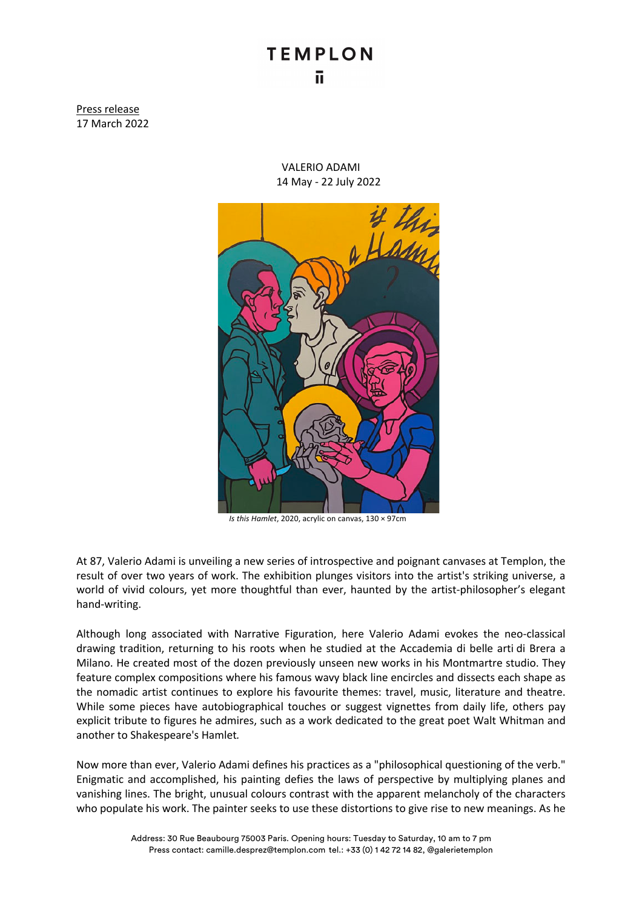## **TEMPLON** ū

Press release 17 March 2022

> VALERIO ADAMI 14 May - 22 July 2022



*Is this Hamlet*, 2020, acrylic on canvas, 130 × 97cm

At 87, Valerio Adami is unveiling a new series of introspective and poignant canvases at Templon, the result of over two years of work. The exhibition plunges visitors into the artist's striking universe, a world of vivid colours, yet more thoughtful than ever, haunted by the artist-philosopher's elegant hand-writing.

Although long associated with Narrative Figuration, here Valerio Adami evokes the neo-classical drawing tradition, returning to his roots when he studied at the Accademia di belle arti di Brera a Milano. He created most of the dozen previously unseen new works in his Montmartre studio. They feature complex compositions where his famous wavy black line encircles and dissects each shape as the nomadic artist continues to explore his favourite themes: travel, music, literature and theatre. While some pieces have autobiographical touches or suggest vignettes from daily life, others pay explicit tribute to figures he admires, such as a work dedicated to the great poet Walt Whitman and another to Shakespeare's Hamlet*.*

Now more than ever, Valerio Adami defines his practices as a "philosophical questioning of the verb." Enigmatic and accomplished, his painting defies the laws of perspective by multiplying planes and vanishing lines. The bright, unusual colours contrast with the apparent melancholy of the characters who populate his work. The painter seeks to use these distortions to give rise to new meanings. As he